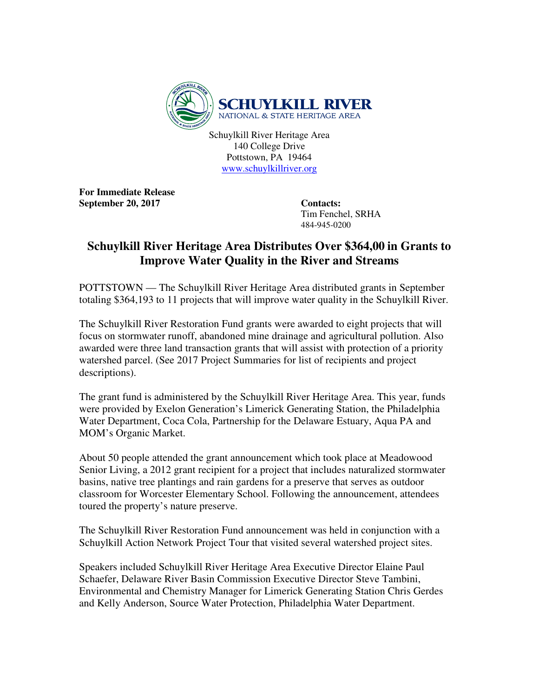

Schuylkill River Heritage Area 140 College Drive Pottstown, PA 19464 www.schuylkillriver.org

**For Immediate Release**  September 20, 2017 Contacts:

 Tim Fenchel, SRHA 484-945-0200

## **Schuylkill River Heritage Area Distributes Over \$364,00 in Grants to Improve Water Quality in the River and Streams**

POTTSTOWN — The Schuylkill River Heritage Area distributed grants in September totaling \$364,193 to 11 projects that will improve water quality in the Schuylkill River.

The Schuylkill River Restoration Fund grants were awarded to eight projects that will focus on stormwater runoff, abandoned mine drainage and agricultural pollution. Also awarded were three land transaction grants that will assist with protection of a priority watershed parcel. (See 2017 Project Summaries for list of recipients and project descriptions).

The grant fund is administered by the Schuylkill River Heritage Area. This year, funds were provided by Exelon Generation's Limerick Generating Station, the Philadelphia Water Department, Coca Cola, Partnership for the Delaware Estuary, Aqua PA and MOM's Organic Market.

About 50 people attended the grant announcement which took place at Meadowood Senior Living, a 2012 grant recipient for a project that includes naturalized stormwater basins, native tree plantings and rain gardens for a preserve that serves as outdoor classroom for Worcester Elementary School. Following the announcement, attendees toured the property's nature preserve.

The Schuylkill River Restoration Fund announcement was held in conjunction with a Schuylkill Action Network Project Tour that visited several watershed project sites.

Speakers included Schuylkill River Heritage Area Executive Director Elaine Paul Schaefer, Delaware River Basin Commission Executive Director Steve Tambini, Environmental and Chemistry Manager for Limerick Generating Station Chris Gerdes and Kelly Anderson, Source Water Protection, Philadelphia Water Department.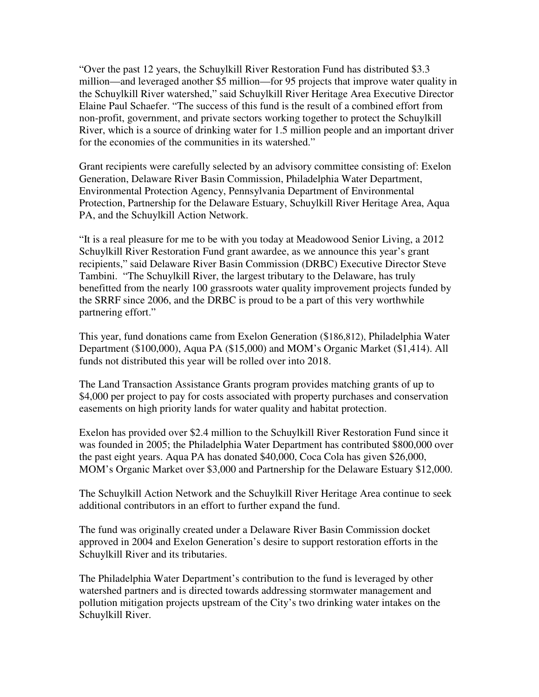"Over the past 12 years, the Schuylkill River Restoration Fund has distributed \$3.3 million—and leveraged another \$5 million—for 95 projects that improve water quality in the Schuylkill River watershed," said Schuylkill River Heritage Area Executive Director Elaine Paul Schaefer. "The success of this fund is the result of a combined effort from non-profit, government, and private sectors working together to protect the Schuylkill River, which is a source of drinking water for 1.5 million people and an important driver for the economies of the communities in its watershed."

Grant recipients were carefully selected by an advisory committee consisting of: Exelon Generation, Delaware River Basin Commission, Philadelphia Water Department, Environmental Protection Agency, Pennsylvania Department of Environmental Protection, Partnership for the Delaware Estuary, Schuylkill River Heritage Area, Aqua PA, and the Schuylkill Action Network.

"It is a real pleasure for me to be with you today at Meadowood Senior Living, a 2012 Schuylkill River Restoration Fund grant awardee, as we announce this year's grant recipients," said Delaware River Basin Commission (DRBC) Executive Director Steve Tambini. "The Schuylkill River, the largest tributary to the Delaware, has truly benefitted from the nearly 100 grassroots water quality improvement projects funded by the SRRF since 2006, and the DRBC is proud to be a part of this very worthwhile partnering effort."

This year, fund donations came from Exelon Generation (\$186,812), Philadelphia Water Department (\$100,000), Aqua PA (\$15,000) and MOM's Organic Market (\$1,414). All funds not distributed this year will be rolled over into 2018.

The Land Transaction Assistance Grants program provides matching grants of up to \$4,000 per project to pay for costs associated with property purchases and conservation easements on high priority lands for water quality and habitat protection.

Exelon has provided over \$2.4 million to the Schuylkill River Restoration Fund since it was founded in 2005; the Philadelphia Water Department has contributed \$800,000 over the past eight years. Aqua PA has donated \$40,000, Coca Cola has given \$26,000, MOM's Organic Market over \$3,000 and Partnership for the Delaware Estuary \$12,000.

The Schuylkill Action Network and the Schuylkill River Heritage Area continue to seek additional contributors in an effort to further expand the fund.

The fund was originally created under a Delaware River Basin Commission docket approved in 2004 and Exelon Generation's desire to support restoration efforts in the Schuylkill River and its tributaries.

The Philadelphia Water Department's contribution to the fund is leveraged by other watershed partners and is directed towards addressing stormwater management and pollution mitigation projects upstream of the City's two drinking water intakes on the Schuylkill River.